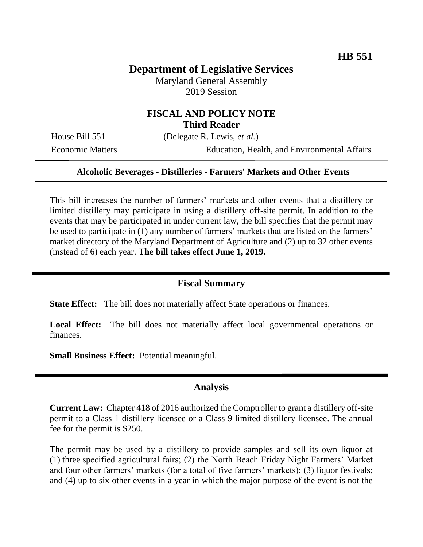# **Department of Legislative Services**

Maryland General Assembly 2019 Session

## **FISCAL AND POLICY NOTE Third Reader**

House Bill 551 (Delegate R. Lewis, *et al.*)

Economic Matters Education, Health, and Environmental Affairs

#### **Alcoholic Beverages - Distilleries - Farmers' Markets and Other Events**

This bill increases the number of farmers' markets and other events that a distillery or limited distillery may participate in using a distillery off-site permit. In addition to the events that may be participated in under current law, the bill specifies that the permit may be used to participate in (1) any number of farmers' markets that are listed on the farmers' market directory of the Maryland Department of Agriculture and (2) up to 32 other events (instead of 6) each year. **The bill takes effect June 1, 2019.** 

### **Fiscal Summary**

**State Effect:** The bill does not materially affect State operations or finances.

**Local Effect:** The bill does not materially affect local governmental operations or finances.

**Small Business Effect:** Potential meaningful.

#### **Analysis**

**Current Law:** Chapter 418 of 2016 authorized the Comptroller to grant a distillery off-site permit to a Class 1 distillery licensee or a Class 9 limited distillery licensee. The annual fee for the permit is \$250.

The permit may be used by a distillery to provide samples and sell its own liquor at (1) three specified agricultural fairs; (2) the North Beach Friday Night Farmers' Market and four other farmers' markets (for a total of five farmers' markets); (3) liquor festivals; and (4) up to six other events in a year in which the major purpose of the event is not the